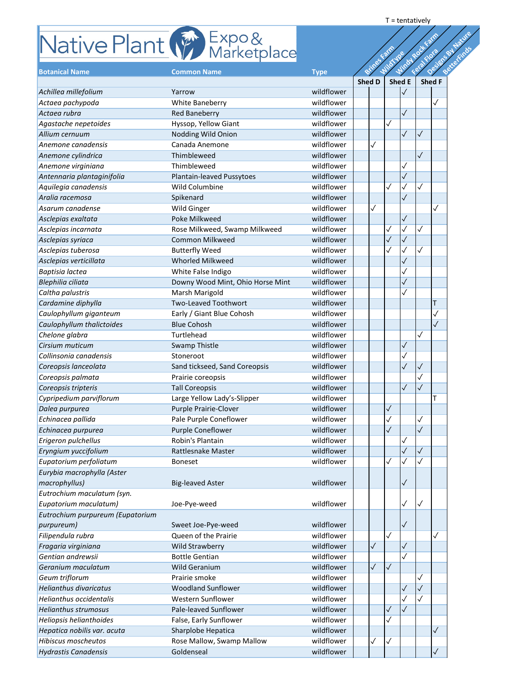## **Rative Plant**  $\mathbb{F}$  Expo &

|                                  | Native Plant (Franketplace       |             |               |              |                   |              | Designs ay Nature |  |
|----------------------------------|----------------------------------|-------------|---------------|--------------|-------------------|--------------|-------------------|--|
|                                  |                                  |             |               | Wildfuge     | Windy Rock        | Felations    |                   |  |
| <b>Botanical Name</b>            | <b>Common Name</b>               | <b>Type</b> | Brings        |              |                   |              |                   |  |
|                                  |                                  |             | <b>Shed D</b> |              | <b>Shed E</b>     |              | <b>Shed F</b>     |  |
| Achillea millefolium             | Yarrow                           | wildflower  |               |              |                   |              |                   |  |
| Actaea pachypoda                 | <b>White Baneberry</b>           | wildflower  |               |              |                   |              | ✓                 |  |
| Actaea rubra                     | <b>Red Baneberry</b>             | wildflower  |               |              | $\checkmark$      |              |                   |  |
| Agastache nepetoides             | Hyssop, Yellow Giant             | wildflower  |               | $\checkmark$ |                   |              |                   |  |
| Allium cernuum                   | Nodding Wild Onion               | wildflower  |               |              | $\checkmark$      | $\checkmark$ |                   |  |
| Anemone canadensis               | Canada Anemone                   | wildflower  | $\checkmark$  |              |                   |              |                   |  |
| Anemone cylindrica               | Thimbleweed                      | wildflower  |               |              |                   | $\sqrt{}$    |                   |  |
| Anemone virginiana               | Thimbleweed                      | wildflower  |               |              |                   |              |                   |  |
| Antennaria plantaginifolia       | Plantain-leaved Pussytoes        | wildflower  |               |              |                   |              |                   |  |
| Aquilegia canadensis             | Wild Columbine                   | wildflower  |               | $\checkmark$ | $\checkmark$      | $\checkmark$ |                   |  |
| Aralia racemosa                  | Spikenard                        | wildflower  |               |              |                   |              |                   |  |
| Asarum canadense                 | <b>Wild Ginger</b>               | wildflower  | $\checkmark$  |              |                   |              |                   |  |
| Asclepias exaltata               | Poke Milkweed                    | wildflower  |               |              | $\checkmark$      |              |                   |  |
| Asclepias incarnata              | Rose Milkweed, Swamp Milkweed    | wildflower  |               | ✓            | $\checkmark$      | $\checkmark$ |                   |  |
| Asclepias syriaca                | <b>Common Milkweed</b>           | wildflower  |               | $\checkmark$ | $\sqrt{}$         |              |                   |  |
| Asclepias tuberosa               | <b>Butterfly Weed</b>            | wildflower  |               | $\checkmark$ | $\checkmark$      |              |                   |  |
| Asclepias verticillata           | <b>Whorled Milkweed</b>          | wildflower  |               |              | $\checkmark$      |              |                   |  |
| Baptisia lactea                  | White False Indigo               | wildflower  |               |              |                   |              |                   |  |
| Blephilia ciliata                | Downy Wood Mint, Ohio Horse Mint | wildflower  |               |              | $\checkmark$      |              |                   |  |
|                                  |                                  | wildflower  |               |              |                   |              |                   |  |
| Caltha palustris                 | Marsh Marigold                   | wildflower  |               |              |                   |              |                   |  |
| Cardamine diphylla               | <b>Two-Leaved Toothwort</b>      |             |               |              |                   |              | Τ                 |  |
| Caulophyllum giganteum           | Early / Giant Blue Cohosh        | wildflower  |               |              |                   |              |                   |  |
| Caulophyllum thalictoides        | <b>Blue Cohosh</b>               | wildflower  |               |              |                   |              |                   |  |
| Chelone glabra                   | <b>Turtlehead</b>                | wildflower  |               |              |                   | $\checkmark$ |                   |  |
| Cirsium muticum                  | <b>Swamp Thistle</b>             | wildflower  |               |              | $\checkmark$      |              |                   |  |
| Collinsonia canadensis           | Stoneroot                        | wildflower  |               |              |                   |              |                   |  |
| Coreopsis lanceolata             | Sand tickseed, Sand Coreopsis    | wildflower  |               |              | $\sqrt{}$         | $\checkmark$ |                   |  |
| Coreopsis palmata                | Prairie coreopsis                | wildflower  |               |              |                   |              |                   |  |
| Coreopsis tripteris              | <b>Tall Coreopsis</b>            | wildflower  |               |              | $\sqrt{}$         | $\checkmark$ |                   |  |
| Cypripedium parviflorum          | Large Yellow Lady's-Slipper      | wildflower  |               |              |                   |              |                   |  |
| Dalea purpurea                   | <b>Purple Prairie-Clover</b>     | wildflower  |               | $\checkmark$ |                   |              |                   |  |
| Echinacea pallida                | Pale Purple Coneflower           | wildflower  |               |              |                   | $\checkmark$ |                   |  |
| Echinacea purpurea               | <b>Purple Coneflower</b>         | wildflower  |               | $\sqrt{}$    |                   | $\checkmark$ |                   |  |
| Erigeron pulchellus              | Robin's Plantain                 | wildflower  |               |              | $\checkmark$      |              |                   |  |
| Eryngium yuccifolium             | <b>Rattlesnake Master</b>        | wildflower  |               |              | $\checkmark$      | $\checkmark$ |                   |  |
| Eupatorium perfoliatum           | <b>Boneset</b>                   | wildflower  |               | $\checkmark$ |                   |              |                   |  |
| Eurybia macrophylla (Aster       |                                  |             |               |              |                   |              |                   |  |
| macrophyllus)                    | <b>Big-leaved Aster</b>          | wildflower  |               |              | $\sqrt{}$         |              |                   |  |
| Eutrochium maculatum (syn.       |                                  |             |               |              |                   |              |                   |  |
| Eupatorium maculatum)            | Joe-Pye-weed                     | wildflower  |               |              |                   | $\checkmark$ |                   |  |
| Eutrochium purpureum (Eupatorium |                                  |             |               |              |                   |              |                   |  |
| purpureum)                       | Sweet Joe-Pye-weed               | wildflower  |               |              | $\checkmark$      |              |                   |  |
| Filipendula rubra                | Queen of the Prairie             | wildflower  |               | $\checkmark$ |                   |              |                   |  |
| Fragaria virginiana              | <b>Wild Strawberry</b>           | wildflower  | $\checkmark$  |              | $\checkmark$      |              |                   |  |
| Gentian andrewsii                | <b>Bottle Gentian</b>            | wildflower  |               |              |                   |              |                   |  |
| Geranium maculatum               | <b>Wild Geranium</b>             | wildflower  | $\checkmark$  | $\sqrt{2}$   |                   |              |                   |  |
| Geum triflorum                   | Prairie smoke                    | wildflower  |               |              |                   |              |                   |  |
| <b>Helianthus divaricatus</b>    | <b>Woodland Sunflower</b>        | wildflower  |               |              |                   |              |                   |  |
|                                  |                                  |             |               |              | $\checkmark$      |              |                   |  |
| Helianthus occidentalis          | <b>Western Sunflower</b>         | wildflower  |               |              |                   |              |                   |  |
| <b>Helianthus strumosus</b>      | Pale-leaved Sunflower            | wildflower  |               | $\sqrt{}$    | $\overline{\vee}$ |              |                   |  |
| Heliopsis helianthoides          | False, Early Sunflower           | wildflower  |               | $\checkmark$ |                   |              |                   |  |
| Hepatica nobilis var. acuta      | Sharplobe Hepatica               | wildflower  |               |              |                   |              | $\checkmark$      |  |
| <b>Hibiscus moscheutos</b>       | Rose Mallow, Swamp Mallow        | wildflower  | $\checkmark$  | $\checkmark$ |                   |              |                   |  |
| <b>Hydrastis Canadensis</b>      | Goldenseal                       | wildflower  |               |              |                   |              |                   |  |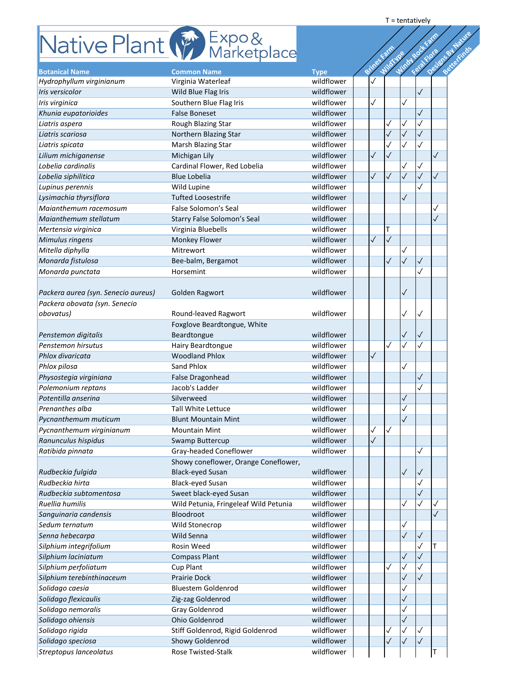## $\sqrt{\frac{2}{n}}$  Expo &

|                                                   | Native Plant (France Marketplace         |                           |              | Design Sylvature |              |                           |  |  |
|---------------------------------------------------|------------------------------------------|---------------------------|--------------|------------------|--------------|---------------------------|--|--|
|                                                   |                                          |                           |              |                  |              | Windowsook<br>Feira Flora |  |  |
|                                                   |                                          |                           | Brings       | <b>WildType</b>  |              |                           |  |  |
| <b>Botanical Name</b><br>Hydrophyllum virginianum | <b>Common Name</b><br>Virginia Waterleaf | <b>Type</b><br>wildflower |              |                  |              |                           |  |  |
| Iris versicolor                                   | Wild Blue Flag Iris                      | wildflower                |              |                  |              | $\checkmark$              |  |  |
|                                                   |                                          | wildflower                | $\checkmark$ |                  | $\checkmark$ |                           |  |  |
| Iris virginica                                    | Southern Blue Flag Iris                  |                           |              |                  |              |                           |  |  |
| Khunia eupatorioides                              | <b>False Boneset</b>                     | wildflower                |              |                  |              | $\checkmark$              |  |  |
| Liatris aspera                                    | Rough Blazing Star                       | wildflower                |              |                  | $\checkmark$ | $\checkmark$              |  |  |
| Liatris scariosa                                  | Northern Blazing Star                    | wildflower                |              |                  |              | $\checkmark$              |  |  |
| Liatris spicata                                   | Marsh Blazing Star                       | wildflower                |              |                  |              |                           |  |  |
| Lilium michiganense                               | Michigan Lily                            | wildflower                | $\checkmark$ | $\checkmark$     |              |                           |  |  |
| Lobelia cardinalis                                | Cardinal Flower, Red Lobelia             | wildflower                |              |                  |              | $\checkmark$              |  |  |
| Lobelia siphilitica                               | <b>Blue Lobelia</b>                      | wildflower                | $\checkmark$ | $\checkmark$     | $\checkmark$ | $\checkmark$              |  |  |
| Lupinus perennis                                  | Wild Lupine                              | wildflower                |              |                  |              |                           |  |  |
| Lysimachia thyrsiflora                            | <b>Tufted Loosestrife</b>                | wildflower                |              |                  |              |                           |  |  |
| Maianthemum racemosum                             | False Solomon's Seal                     | wildflower                |              |                  |              |                           |  |  |
| Maianthemum stellatum                             | <b>Starry False Solomon's Seal</b>       | wildflower                |              |                  |              |                           |  |  |
| Mertensia virginica                               | Virginia Bluebells                       | wildflower                |              | T                |              |                           |  |  |
| Mimulus ringens                                   | <b>Monkey Flower</b>                     | wildflower                | $\checkmark$ | $\sqrt{}$        |              |                           |  |  |
| Mitella diphylla                                  | Mitrewort                                | wildflower                |              |                  |              |                           |  |  |
| Monarda fistulosa                                 | Bee-balm, Bergamot                       | wildflower                |              | $\checkmark$     | $\checkmark$ | $\checkmark$              |  |  |
|                                                   |                                          | wildflower                |              |                  |              |                           |  |  |
| Monarda punctata                                  | Horsemint                                |                           |              |                  |              |                           |  |  |
|                                                   |                                          |                           |              |                  |              |                           |  |  |
| Packera aurea (syn. Senecio aureus)               | Golden Ragwort                           | wildflower                |              |                  | $\checkmark$ |                           |  |  |
| Packera obovata (syn. Senecio                     |                                          |                           |              |                  |              |                           |  |  |
| obovatus)                                         | Round-leaved Ragwort                     | wildflower                |              |                  |              | ∣√                        |  |  |
|                                                   | Foxglove Beardtongue, White              |                           |              |                  |              |                           |  |  |
| Penstemon digitalis                               | Beardtongue                              | wildflower                |              |                  | $\checkmark$ | $\checkmark$              |  |  |
| Penstemon hirsutus                                | Hairy Beardtongue                        | wildflower                |              | $\checkmark$     | $\checkmark$ |                           |  |  |
| Phlox divaricata                                  | <b>Woodland Phlox</b>                    | wildflower                | $\checkmark$ |                  |              |                           |  |  |
| Phlox pilosa                                      | <b>Sand Phlox</b>                        | wildflower                |              |                  | $\checkmark$ |                           |  |  |
| Physostegia virginiana                            | <b>False Dragonhead</b>                  | wildflower                |              |                  |              | $\checkmark$              |  |  |
| Polemonium reptans                                | Jacob's Ladder                           | wildflower                |              |                  |              |                           |  |  |
| Potentilla anserina                               | Silverweed                               | wildflower                |              |                  | $\checkmark$ |                           |  |  |
| Prenanthes alba                                   |                                          | wildflower                |              |                  |              |                           |  |  |
|                                                   | <b>Tall White Lettuce</b>                |                           |              |                  |              |                           |  |  |
| Pycnanthemum muticum                              | <b>Blunt Mountain Mint</b>               | wildflower                |              |                  |              |                           |  |  |
| Pycnanthemum virginianum                          | <b>Mountain Mint</b>                     | wildflower                | $\checkmark$ | $\sqrt{}$        |              |                           |  |  |
| Ranunculus hispidus                               | Swamp Buttercup                          | wildflower                | $\checkmark$ |                  |              |                           |  |  |
| Ratibida pinnata                                  | Gray-headed Coneflower                   | wildflower                |              |                  |              | $\checkmark$              |  |  |
|                                                   | Showy coneflower, Orange Coneflower,     |                           |              |                  |              |                           |  |  |
| Rudbeckia fulgida                                 | <b>Black-eyed Susan</b>                  | wildflower                |              |                  | $\checkmark$ | $\checkmark$              |  |  |
| Rudbeckia hirta                                   | <b>Black-eyed Susan</b>                  | wildflower                |              |                  |              |                           |  |  |
| Rudbeckia subtomentosa                            | Sweet black-eyed Susan                   | wildflower                |              |                  |              | $\checkmark$              |  |  |
| Ruellia humilis                                   | Wild Petunia, Fringeleaf Wild Petunia    | wildflower                |              |                  | $\checkmark$ |                           |  |  |
| Sanguinaria candensis                             | Bloodroot                                | wildflower                |              |                  |              |                           |  |  |
| Sedum ternatum                                    | Wild Stonecrop                           | wildflower                |              |                  | $\checkmark$ |                           |  |  |
| Senna hebecarpa                                   | <b>Wild Senna</b>                        | wildflower                |              |                  |              | $\sqrt{}$                 |  |  |
|                                                   | Rosin Weed                               | wildflower                |              |                  |              |                           |  |  |
| Silphium integrifolium                            |                                          |                           |              |                  |              |                           |  |  |
| Silphium laciniatum                               | <b>Compass Plant</b>                     | wildflower                |              |                  | $\checkmark$ | $\checkmark$              |  |  |
| Silphium perfoliatum                              | Cup Plant                                | wildflower                |              | $\checkmark$     | $\checkmark$ |                           |  |  |
| Silphium terebinthinaceum                         | <b>Prairie Dock</b>                      | wildflower                |              |                  | $\checkmark$ | $\checkmark$              |  |  |
| Solidago caesia                                   | <b>Bluestem Goldenrod</b>                | wildflower                |              |                  |              |                           |  |  |
| Solidago flexicaulis                              | Zig-zag Goldenrod                        | wildflower                |              |                  |              |                           |  |  |
| Solidago nemoralis                                | <b>Gray Goldenrod</b>                    | wildflower                |              |                  |              |                           |  |  |
| Solidago ohiensis                                 | Ohio Goldenrod                           | wildflower                |              |                  |              |                           |  |  |
| Solidago rigida                                   | Stiff Goldenrod, Rigid Goldenrod         | wildflower                |              | $\checkmark$     |              |                           |  |  |
| Solidago speciosa                                 | Showy Goldenrod                          | wildflower                |              | $\checkmark$     | $\checkmark$ | $\checkmark$              |  |  |
| Streptopus lanceolatus                            | <b>Rose Twisted-Stalk</b>                | wildflower                |              |                  |              |                           |  |  |
|                                                   |                                          |                           |              |                  |              |                           |  |  |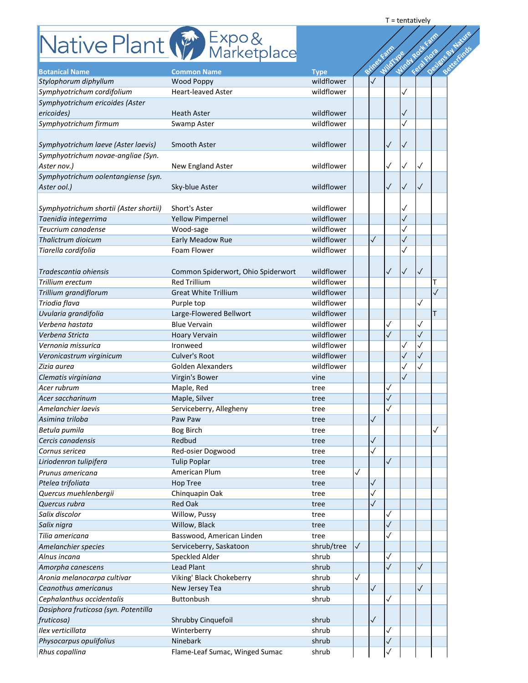## **Rotanical Property Expo&**

| Design St Latvie<br>Native Plant (Franketplace<br>Windowsock<br>Feia Flora<br>WildFyes<br>Brings<br><b>Botanical Name</b><br><b>Common Name</b><br><b>Type</b><br>wildflower<br>Stylophorum diphyllum<br><b>Wood Poppy</b><br>wildflower<br>Symphyotrichum cordifolium<br><b>Heart-leaved Aster</b><br>Symphyotrichum ericoides (Aster<br>ericoides)<br>wildflower<br><b>Heath Aster</b><br>wildflower<br>Symphyotrichum firmum<br>Swamp Aster<br>wildflower<br>Symphyotrichum laeve (Aster laevis)<br>Smooth Aster<br>$\checkmark$<br>Symphyotrichum novae-angliae (Syn.<br>$\checkmark$<br>wildflower<br>Aster nov.)<br><b>New England Aster</b><br>$\checkmark$<br>Symphyotrichum oolentangiense (syn.<br>$\checkmark$<br>wildflower<br>Aster ool.)<br>Sky-blue Aster<br>$\sqrt{}$<br>$\checkmark$<br>wildflower<br>Symphyotrichum shortii (Aster shortii)<br>Short's Aster<br>wildflower<br>Taenidia integerrima<br><b>Yellow Pimpernel</b><br>wildflower<br>Teucrium canadense<br>Wood-sage<br>wildflower<br>$\checkmark$<br>Thalictrum dioicum<br>Early Meadow Rue<br>wildflower<br>Tiarella cordifolia<br>Foam Flower<br>$\sqrt{}$<br>$\checkmark$<br>wildflower<br>$\checkmark$<br>Common Spiderwort, Ohio Spiderwort<br><b>Red Trillium</b><br>wildflower<br>wildflower<br><b>Great White Trillium</b><br>$\checkmark$<br>wildflower<br>Purple top<br>wildflower<br>Large-Flowered Bellwort<br>Τ<br>wildflower<br><b>Blue Vervain</b><br>$\checkmark$<br>$\checkmark$<br>wildflower<br>$\checkmark$<br><b>Hoary Vervain</b><br>$\checkmark$<br>wildflower<br>Ironweed<br>$\checkmark$<br>wildflower<br><b>Culver's Root</b><br>wildflower<br><b>Golden Alexanders</b><br>Virgin's Bower<br>vine<br>Maple, Red<br>tree<br>√<br>Maple, Silver<br>$\checkmark$<br>Acer saccharinum<br>tree<br>Amelanchier laevis<br>Serviceberry, Allegheny<br>tree<br>$\checkmark$<br>Asimina triloba<br>Paw Paw<br>tree<br><b>Bog Birch</b><br>Betula pumila<br>tree<br>$\checkmark$<br>Redbud<br>Cercis canadensis<br>tree<br>Cornus sericea<br>Red-osier Dogwood<br>$\checkmark$<br>tree<br><b>Tulip Poplar</b><br>Liriodenron tulipifera<br>$\sqrt{}$<br>tree<br>$\checkmark$<br>American Plum<br>Prunus americana<br>tree<br>$\checkmark$<br>Ptelea trifoliata<br><b>Hop Tree</b><br>tree<br>Quercus muehlenbergii<br>Chinquapin Oak<br>✓<br>tree<br>$\sqrt{}$<br>Quercus rubra<br><b>Red Oak</b><br>tree<br>Salix discolor<br>Willow, Pussy<br>tree<br>✓<br>$\sqrt{}$<br>Willow, Black<br>Salix nigra<br>tree<br>$\checkmark$<br>Tilia americana<br>Basswood, American Linden<br>tree<br>shrub/tree<br>$\checkmark$<br>Serviceberry, Saskatoon<br>Amelanchier species<br><b>Speckled Alder</b><br>shrub<br>$\checkmark$<br>Alnus incana<br>$\checkmark$<br><b>Lead Plant</b><br>shrub<br>Amorpha canescens<br>Aronia melanocarpa cultivar<br>Viking' Black Chokeberry<br>shrub<br>$\checkmark$<br>$\checkmark$<br>$\checkmark$<br>New Jersey Tea<br>shrub<br>Buttonbush<br>shrub<br>$\checkmark$<br>$\checkmark$<br>Shrubby Cinquefoil<br>shrub<br>Winterberry<br>shrub<br>$\checkmark$<br>Ninebark<br>$\checkmark$<br>shrub<br>Flame-Leaf Sumac, Winged Sumac<br>shrub<br>$\checkmark$ |                                      |  |  |  |  |  |
|--------------------------------------------------------------------------------------------------------------------------------------------------------------------------------------------------------------------------------------------------------------------------------------------------------------------------------------------------------------------------------------------------------------------------------------------------------------------------------------------------------------------------------------------------------------------------------------------------------------------------------------------------------------------------------------------------------------------------------------------------------------------------------------------------------------------------------------------------------------------------------------------------------------------------------------------------------------------------------------------------------------------------------------------------------------------------------------------------------------------------------------------------------------------------------------------------------------------------------------------------------------------------------------------------------------------------------------------------------------------------------------------------------------------------------------------------------------------------------------------------------------------------------------------------------------------------------------------------------------------------------------------------------------------------------------------------------------------------------------------------------------------------------------------------------------------------------------------------------------------------------------------------------------------------------------------------------------------------------------------------------------------------------------------------------------------------------------------------------------------------------------------------------------------------------------------------------------------------------------------------------------------------------------------------------------------------------------------------------------------------------------------------------------------------------------------------------------------------------------------------------------------------------------------------------------------------------------------------------------------------------------------------------------------------------------------------------------------------------------------------------------------------------------------------------------------------------------------------------------------------------------------------------------------------------------------------------------------------------------------------------------------------------------------------------------------------------------------------------------------------------------------------------------------------------------|--------------------------------------|--|--|--|--|--|
|                                                                                                                                                                                                                                                                                                                                                                                                                                                                                                                                                                                                                                                                                                                                                                                                                                                                                                                                                                                                                                                                                                                                                                                                                                                                                                                                                                                                                                                                                                                                                                                                                                                                                                                                                                                                                                                                                                                                                                                                                                                                                                                                                                                                                                                                                                                                                                                                                                                                                                                                                                                                                                                                                                                                                                                                                                                                                                                                                                                                                                                                                                                                                                                      |                                      |  |  |  |  |  |
|                                                                                                                                                                                                                                                                                                                                                                                                                                                                                                                                                                                                                                                                                                                                                                                                                                                                                                                                                                                                                                                                                                                                                                                                                                                                                                                                                                                                                                                                                                                                                                                                                                                                                                                                                                                                                                                                                                                                                                                                                                                                                                                                                                                                                                                                                                                                                                                                                                                                                                                                                                                                                                                                                                                                                                                                                                                                                                                                                                                                                                                                                                                                                                                      |                                      |  |  |  |  |  |
|                                                                                                                                                                                                                                                                                                                                                                                                                                                                                                                                                                                                                                                                                                                                                                                                                                                                                                                                                                                                                                                                                                                                                                                                                                                                                                                                                                                                                                                                                                                                                                                                                                                                                                                                                                                                                                                                                                                                                                                                                                                                                                                                                                                                                                                                                                                                                                                                                                                                                                                                                                                                                                                                                                                                                                                                                                                                                                                                                                                                                                                                                                                                                                                      |                                      |  |  |  |  |  |
|                                                                                                                                                                                                                                                                                                                                                                                                                                                                                                                                                                                                                                                                                                                                                                                                                                                                                                                                                                                                                                                                                                                                                                                                                                                                                                                                                                                                                                                                                                                                                                                                                                                                                                                                                                                                                                                                                                                                                                                                                                                                                                                                                                                                                                                                                                                                                                                                                                                                                                                                                                                                                                                                                                                                                                                                                                                                                                                                                                                                                                                                                                                                                                                      |                                      |  |  |  |  |  |
|                                                                                                                                                                                                                                                                                                                                                                                                                                                                                                                                                                                                                                                                                                                                                                                                                                                                                                                                                                                                                                                                                                                                                                                                                                                                                                                                                                                                                                                                                                                                                                                                                                                                                                                                                                                                                                                                                                                                                                                                                                                                                                                                                                                                                                                                                                                                                                                                                                                                                                                                                                                                                                                                                                                                                                                                                                                                                                                                                                                                                                                                                                                                                                                      |                                      |  |  |  |  |  |
|                                                                                                                                                                                                                                                                                                                                                                                                                                                                                                                                                                                                                                                                                                                                                                                                                                                                                                                                                                                                                                                                                                                                                                                                                                                                                                                                                                                                                                                                                                                                                                                                                                                                                                                                                                                                                                                                                                                                                                                                                                                                                                                                                                                                                                                                                                                                                                                                                                                                                                                                                                                                                                                                                                                                                                                                                                                                                                                                                                                                                                                                                                                                                                                      |                                      |  |  |  |  |  |
|                                                                                                                                                                                                                                                                                                                                                                                                                                                                                                                                                                                                                                                                                                                                                                                                                                                                                                                                                                                                                                                                                                                                                                                                                                                                                                                                                                                                                                                                                                                                                                                                                                                                                                                                                                                                                                                                                                                                                                                                                                                                                                                                                                                                                                                                                                                                                                                                                                                                                                                                                                                                                                                                                                                                                                                                                                                                                                                                                                                                                                                                                                                                                                                      |                                      |  |  |  |  |  |
|                                                                                                                                                                                                                                                                                                                                                                                                                                                                                                                                                                                                                                                                                                                                                                                                                                                                                                                                                                                                                                                                                                                                                                                                                                                                                                                                                                                                                                                                                                                                                                                                                                                                                                                                                                                                                                                                                                                                                                                                                                                                                                                                                                                                                                                                                                                                                                                                                                                                                                                                                                                                                                                                                                                                                                                                                                                                                                                                                                                                                                                                                                                                                                                      |                                      |  |  |  |  |  |
|                                                                                                                                                                                                                                                                                                                                                                                                                                                                                                                                                                                                                                                                                                                                                                                                                                                                                                                                                                                                                                                                                                                                                                                                                                                                                                                                                                                                                                                                                                                                                                                                                                                                                                                                                                                                                                                                                                                                                                                                                                                                                                                                                                                                                                                                                                                                                                                                                                                                                                                                                                                                                                                                                                                                                                                                                                                                                                                                                                                                                                                                                                                                                                                      |                                      |  |  |  |  |  |
|                                                                                                                                                                                                                                                                                                                                                                                                                                                                                                                                                                                                                                                                                                                                                                                                                                                                                                                                                                                                                                                                                                                                                                                                                                                                                                                                                                                                                                                                                                                                                                                                                                                                                                                                                                                                                                                                                                                                                                                                                                                                                                                                                                                                                                                                                                                                                                                                                                                                                                                                                                                                                                                                                                                                                                                                                                                                                                                                                                                                                                                                                                                                                                                      |                                      |  |  |  |  |  |
|                                                                                                                                                                                                                                                                                                                                                                                                                                                                                                                                                                                                                                                                                                                                                                                                                                                                                                                                                                                                                                                                                                                                                                                                                                                                                                                                                                                                                                                                                                                                                                                                                                                                                                                                                                                                                                                                                                                                                                                                                                                                                                                                                                                                                                                                                                                                                                                                                                                                                                                                                                                                                                                                                                                                                                                                                                                                                                                                                                                                                                                                                                                                                                                      |                                      |  |  |  |  |  |
|                                                                                                                                                                                                                                                                                                                                                                                                                                                                                                                                                                                                                                                                                                                                                                                                                                                                                                                                                                                                                                                                                                                                                                                                                                                                                                                                                                                                                                                                                                                                                                                                                                                                                                                                                                                                                                                                                                                                                                                                                                                                                                                                                                                                                                                                                                                                                                                                                                                                                                                                                                                                                                                                                                                                                                                                                                                                                                                                                                                                                                                                                                                                                                                      |                                      |  |  |  |  |  |
|                                                                                                                                                                                                                                                                                                                                                                                                                                                                                                                                                                                                                                                                                                                                                                                                                                                                                                                                                                                                                                                                                                                                                                                                                                                                                                                                                                                                                                                                                                                                                                                                                                                                                                                                                                                                                                                                                                                                                                                                                                                                                                                                                                                                                                                                                                                                                                                                                                                                                                                                                                                                                                                                                                                                                                                                                                                                                                                                                                                                                                                                                                                                                                                      |                                      |  |  |  |  |  |
|                                                                                                                                                                                                                                                                                                                                                                                                                                                                                                                                                                                                                                                                                                                                                                                                                                                                                                                                                                                                                                                                                                                                                                                                                                                                                                                                                                                                                                                                                                                                                                                                                                                                                                                                                                                                                                                                                                                                                                                                                                                                                                                                                                                                                                                                                                                                                                                                                                                                                                                                                                                                                                                                                                                                                                                                                                                                                                                                                                                                                                                                                                                                                                                      |                                      |  |  |  |  |  |
|                                                                                                                                                                                                                                                                                                                                                                                                                                                                                                                                                                                                                                                                                                                                                                                                                                                                                                                                                                                                                                                                                                                                                                                                                                                                                                                                                                                                                                                                                                                                                                                                                                                                                                                                                                                                                                                                                                                                                                                                                                                                                                                                                                                                                                                                                                                                                                                                                                                                                                                                                                                                                                                                                                                                                                                                                                                                                                                                                                                                                                                                                                                                                                                      |                                      |  |  |  |  |  |
|                                                                                                                                                                                                                                                                                                                                                                                                                                                                                                                                                                                                                                                                                                                                                                                                                                                                                                                                                                                                                                                                                                                                                                                                                                                                                                                                                                                                                                                                                                                                                                                                                                                                                                                                                                                                                                                                                                                                                                                                                                                                                                                                                                                                                                                                                                                                                                                                                                                                                                                                                                                                                                                                                                                                                                                                                                                                                                                                                                                                                                                                                                                                                                                      |                                      |  |  |  |  |  |
|                                                                                                                                                                                                                                                                                                                                                                                                                                                                                                                                                                                                                                                                                                                                                                                                                                                                                                                                                                                                                                                                                                                                                                                                                                                                                                                                                                                                                                                                                                                                                                                                                                                                                                                                                                                                                                                                                                                                                                                                                                                                                                                                                                                                                                                                                                                                                                                                                                                                                                                                                                                                                                                                                                                                                                                                                                                                                                                                                                                                                                                                                                                                                                                      |                                      |  |  |  |  |  |
|                                                                                                                                                                                                                                                                                                                                                                                                                                                                                                                                                                                                                                                                                                                                                                                                                                                                                                                                                                                                                                                                                                                                                                                                                                                                                                                                                                                                                                                                                                                                                                                                                                                                                                                                                                                                                                                                                                                                                                                                                                                                                                                                                                                                                                                                                                                                                                                                                                                                                                                                                                                                                                                                                                                                                                                                                                                                                                                                                                                                                                                                                                                                                                                      |                                      |  |  |  |  |  |
|                                                                                                                                                                                                                                                                                                                                                                                                                                                                                                                                                                                                                                                                                                                                                                                                                                                                                                                                                                                                                                                                                                                                                                                                                                                                                                                                                                                                                                                                                                                                                                                                                                                                                                                                                                                                                                                                                                                                                                                                                                                                                                                                                                                                                                                                                                                                                                                                                                                                                                                                                                                                                                                                                                                                                                                                                                                                                                                                                                                                                                                                                                                                                                                      |                                      |  |  |  |  |  |
|                                                                                                                                                                                                                                                                                                                                                                                                                                                                                                                                                                                                                                                                                                                                                                                                                                                                                                                                                                                                                                                                                                                                                                                                                                                                                                                                                                                                                                                                                                                                                                                                                                                                                                                                                                                                                                                                                                                                                                                                                                                                                                                                                                                                                                                                                                                                                                                                                                                                                                                                                                                                                                                                                                                                                                                                                                                                                                                                                                                                                                                                                                                                                                                      |                                      |  |  |  |  |  |
|                                                                                                                                                                                                                                                                                                                                                                                                                                                                                                                                                                                                                                                                                                                                                                                                                                                                                                                                                                                                                                                                                                                                                                                                                                                                                                                                                                                                                                                                                                                                                                                                                                                                                                                                                                                                                                                                                                                                                                                                                                                                                                                                                                                                                                                                                                                                                                                                                                                                                                                                                                                                                                                                                                                                                                                                                                                                                                                                                                                                                                                                                                                                                                                      |                                      |  |  |  |  |  |
|                                                                                                                                                                                                                                                                                                                                                                                                                                                                                                                                                                                                                                                                                                                                                                                                                                                                                                                                                                                                                                                                                                                                                                                                                                                                                                                                                                                                                                                                                                                                                                                                                                                                                                                                                                                                                                                                                                                                                                                                                                                                                                                                                                                                                                                                                                                                                                                                                                                                                                                                                                                                                                                                                                                                                                                                                                                                                                                                                                                                                                                                                                                                                                                      | Tradescantia ohiensis                |  |  |  |  |  |
|                                                                                                                                                                                                                                                                                                                                                                                                                                                                                                                                                                                                                                                                                                                                                                                                                                                                                                                                                                                                                                                                                                                                                                                                                                                                                                                                                                                                                                                                                                                                                                                                                                                                                                                                                                                                                                                                                                                                                                                                                                                                                                                                                                                                                                                                                                                                                                                                                                                                                                                                                                                                                                                                                                                                                                                                                                                                                                                                                                                                                                                                                                                                                                                      | Trillium erectum                     |  |  |  |  |  |
|                                                                                                                                                                                                                                                                                                                                                                                                                                                                                                                                                                                                                                                                                                                                                                                                                                                                                                                                                                                                                                                                                                                                                                                                                                                                                                                                                                                                                                                                                                                                                                                                                                                                                                                                                                                                                                                                                                                                                                                                                                                                                                                                                                                                                                                                                                                                                                                                                                                                                                                                                                                                                                                                                                                                                                                                                                                                                                                                                                                                                                                                                                                                                                                      | Trillium grandiflorum                |  |  |  |  |  |
|                                                                                                                                                                                                                                                                                                                                                                                                                                                                                                                                                                                                                                                                                                                                                                                                                                                                                                                                                                                                                                                                                                                                                                                                                                                                                                                                                                                                                                                                                                                                                                                                                                                                                                                                                                                                                                                                                                                                                                                                                                                                                                                                                                                                                                                                                                                                                                                                                                                                                                                                                                                                                                                                                                                                                                                                                                                                                                                                                                                                                                                                                                                                                                                      | Triodia flava                        |  |  |  |  |  |
|                                                                                                                                                                                                                                                                                                                                                                                                                                                                                                                                                                                                                                                                                                                                                                                                                                                                                                                                                                                                                                                                                                                                                                                                                                                                                                                                                                                                                                                                                                                                                                                                                                                                                                                                                                                                                                                                                                                                                                                                                                                                                                                                                                                                                                                                                                                                                                                                                                                                                                                                                                                                                                                                                                                                                                                                                                                                                                                                                                                                                                                                                                                                                                                      | Uvularia grandifolia                 |  |  |  |  |  |
|                                                                                                                                                                                                                                                                                                                                                                                                                                                                                                                                                                                                                                                                                                                                                                                                                                                                                                                                                                                                                                                                                                                                                                                                                                                                                                                                                                                                                                                                                                                                                                                                                                                                                                                                                                                                                                                                                                                                                                                                                                                                                                                                                                                                                                                                                                                                                                                                                                                                                                                                                                                                                                                                                                                                                                                                                                                                                                                                                                                                                                                                                                                                                                                      | Verbena hastata                      |  |  |  |  |  |
|                                                                                                                                                                                                                                                                                                                                                                                                                                                                                                                                                                                                                                                                                                                                                                                                                                                                                                                                                                                                                                                                                                                                                                                                                                                                                                                                                                                                                                                                                                                                                                                                                                                                                                                                                                                                                                                                                                                                                                                                                                                                                                                                                                                                                                                                                                                                                                                                                                                                                                                                                                                                                                                                                                                                                                                                                                                                                                                                                                                                                                                                                                                                                                                      | Verbena Stricta                      |  |  |  |  |  |
|                                                                                                                                                                                                                                                                                                                                                                                                                                                                                                                                                                                                                                                                                                                                                                                                                                                                                                                                                                                                                                                                                                                                                                                                                                                                                                                                                                                                                                                                                                                                                                                                                                                                                                                                                                                                                                                                                                                                                                                                                                                                                                                                                                                                                                                                                                                                                                                                                                                                                                                                                                                                                                                                                                                                                                                                                                                                                                                                                                                                                                                                                                                                                                                      | Vernonia missurica                   |  |  |  |  |  |
|                                                                                                                                                                                                                                                                                                                                                                                                                                                                                                                                                                                                                                                                                                                                                                                                                                                                                                                                                                                                                                                                                                                                                                                                                                                                                                                                                                                                                                                                                                                                                                                                                                                                                                                                                                                                                                                                                                                                                                                                                                                                                                                                                                                                                                                                                                                                                                                                                                                                                                                                                                                                                                                                                                                                                                                                                                                                                                                                                                                                                                                                                                                                                                                      | Veronicastrum virginicum             |  |  |  |  |  |
|                                                                                                                                                                                                                                                                                                                                                                                                                                                                                                                                                                                                                                                                                                                                                                                                                                                                                                                                                                                                                                                                                                                                                                                                                                                                                                                                                                                                                                                                                                                                                                                                                                                                                                                                                                                                                                                                                                                                                                                                                                                                                                                                                                                                                                                                                                                                                                                                                                                                                                                                                                                                                                                                                                                                                                                                                                                                                                                                                                                                                                                                                                                                                                                      | Zizia aurea                          |  |  |  |  |  |
|                                                                                                                                                                                                                                                                                                                                                                                                                                                                                                                                                                                                                                                                                                                                                                                                                                                                                                                                                                                                                                                                                                                                                                                                                                                                                                                                                                                                                                                                                                                                                                                                                                                                                                                                                                                                                                                                                                                                                                                                                                                                                                                                                                                                                                                                                                                                                                                                                                                                                                                                                                                                                                                                                                                                                                                                                                                                                                                                                                                                                                                                                                                                                                                      | Clematis virginiana                  |  |  |  |  |  |
|                                                                                                                                                                                                                                                                                                                                                                                                                                                                                                                                                                                                                                                                                                                                                                                                                                                                                                                                                                                                                                                                                                                                                                                                                                                                                                                                                                                                                                                                                                                                                                                                                                                                                                                                                                                                                                                                                                                                                                                                                                                                                                                                                                                                                                                                                                                                                                                                                                                                                                                                                                                                                                                                                                                                                                                                                                                                                                                                                                                                                                                                                                                                                                                      | Acer rubrum                          |  |  |  |  |  |
|                                                                                                                                                                                                                                                                                                                                                                                                                                                                                                                                                                                                                                                                                                                                                                                                                                                                                                                                                                                                                                                                                                                                                                                                                                                                                                                                                                                                                                                                                                                                                                                                                                                                                                                                                                                                                                                                                                                                                                                                                                                                                                                                                                                                                                                                                                                                                                                                                                                                                                                                                                                                                                                                                                                                                                                                                                                                                                                                                                                                                                                                                                                                                                                      |                                      |  |  |  |  |  |
|                                                                                                                                                                                                                                                                                                                                                                                                                                                                                                                                                                                                                                                                                                                                                                                                                                                                                                                                                                                                                                                                                                                                                                                                                                                                                                                                                                                                                                                                                                                                                                                                                                                                                                                                                                                                                                                                                                                                                                                                                                                                                                                                                                                                                                                                                                                                                                                                                                                                                                                                                                                                                                                                                                                                                                                                                                                                                                                                                                                                                                                                                                                                                                                      |                                      |  |  |  |  |  |
|                                                                                                                                                                                                                                                                                                                                                                                                                                                                                                                                                                                                                                                                                                                                                                                                                                                                                                                                                                                                                                                                                                                                                                                                                                                                                                                                                                                                                                                                                                                                                                                                                                                                                                                                                                                                                                                                                                                                                                                                                                                                                                                                                                                                                                                                                                                                                                                                                                                                                                                                                                                                                                                                                                                                                                                                                                                                                                                                                                                                                                                                                                                                                                                      |                                      |  |  |  |  |  |
|                                                                                                                                                                                                                                                                                                                                                                                                                                                                                                                                                                                                                                                                                                                                                                                                                                                                                                                                                                                                                                                                                                                                                                                                                                                                                                                                                                                                                                                                                                                                                                                                                                                                                                                                                                                                                                                                                                                                                                                                                                                                                                                                                                                                                                                                                                                                                                                                                                                                                                                                                                                                                                                                                                                                                                                                                                                                                                                                                                                                                                                                                                                                                                                      |                                      |  |  |  |  |  |
|                                                                                                                                                                                                                                                                                                                                                                                                                                                                                                                                                                                                                                                                                                                                                                                                                                                                                                                                                                                                                                                                                                                                                                                                                                                                                                                                                                                                                                                                                                                                                                                                                                                                                                                                                                                                                                                                                                                                                                                                                                                                                                                                                                                                                                                                                                                                                                                                                                                                                                                                                                                                                                                                                                                                                                                                                                                                                                                                                                                                                                                                                                                                                                                      |                                      |  |  |  |  |  |
|                                                                                                                                                                                                                                                                                                                                                                                                                                                                                                                                                                                                                                                                                                                                                                                                                                                                                                                                                                                                                                                                                                                                                                                                                                                                                                                                                                                                                                                                                                                                                                                                                                                                                                                                                                                                                                                                                                                                                                                                                                                                                                                                                                                                                                                                                                                                                                                                                                                                                                                                                                                                                                                                                                                                                                                                                                                                                                                                                                                                                                                                                                                                                                                      |                                      |  |  |  |  |  |
|                                                                                                                                                                                                                                                                                                                                                                                                                                                                                                                                                                                                                                                                                                                                                                                                                                                                                                                                                                                                                                                                                                                                                                                                                                                                                                                                                                                                                                                                                                                                                                                                                                                                                                                                                                                                                                                                                                                                                                                                                                                                                                                                                                                                                                                                                                                                                                                                                                                                                                                                                                                                                                                                                                                                                                                                                                                                                                                                                                                                                                                                                                                                                                                      |                                      |  |  |  |  |  |
|                                                                                                                                                                                                                                                                                                                                                                                                                                                                                                                                                                                                                                                                                                                                                                                                                                                                                                                                                                                                                                                                                                                                                                                                                                                                                                                                                                                                                                                                                                                                                                                                                                                                                                                                                                                                                                                                                                                                                                                                                                                                                                                                                                                                                                                                                                                                                                                                                                                                                                                                                                                                                                                                                                                                                                                                                                                                                                                                                                                                                                                                                                                                                                                      |                                      |  |  |  |  |  |
|                                                                                                                                                                                                                                                                                                                                                                                                                                                                                                                                                                                                                                                                                                                                                                                                                                                                                                                                                                                                                                                                                                                                                                                                                                                                                                                                                                                                                                                                                                                                                                                                                                                                                                                                                                                                                                                                                                                                                                                                                                                                                                                                                                                                                                                                                                                                                                                                                                                                                                                                                                                                                                                                                                                                                                                                                                                                                                                                                                                                                                                                                                                                                                                      |                                      |  |  |  |  |  |
|                                                                                                                                                                                                                                                                                                                                                                                                                                                                                                                                                                                                                                                                                                                                                                                                                                                                                                                                                                                                                                                                                                                                                                                                                                                                                                                                                                                                                                                                                                                                                                                                                                                                                                                                                                                                                                                                                                                                                                                                                                                                                                                                                                                                                                                                                                                                                                                                                                                                                                                                                                                                                                                                                                                                                                                                                                                                                                                                                                                                                                                                                                                                                                                      |                                      |  |  |  |  |  |
|                                                                                                                                                                                                                                                                                                                                                                                                                                                                                                                                                                                                                                                                                                                                                                                                                                                                                                                                                                                                                                                                                                                                                                                                                                                                                                                                                                                                                                                                                                                                                                                                                                                                                                                                                                                                                                                                                                                                                                                                                                                                                                                                                                                                                                                                                                                                                                                                                                                                                                                                                                                                                                                                                                                                                                                                                                                                                                                                                                                                                                                                                                                                                                                      |                                      |  |  |  |  |  |
|                                                                                                                                                                                                                                                                                                                                                                                                                                                                                                                                                                                                                                                                                                                                                                                                                                                                                                                                                                                                                                                                                                                                                                                                                                                                                                                                                                                                                                                                                                                                                                                                                                                                                                                                                                                                                                                                                                                                                                                                                                                                                                                                                                                                                                                                                                                                                                                                                                                                                                                                                                                                                                                                                                                                                                                                                                                                                                                                                                                                                                                                                                                                                                                      |                                      |  |  |  |  |  |
|                                                                                                                                                                                                                                                                                                                                                                                                                                                                                                                                                                                                                                                                                                                                                                                                                                                                                                                                                                                                                                                                                                                                                                                                                                                                                                                                                                                                                                                                                                                                                                                                                                                                                                                                                                                                                                                                                                                                                                                                                                                                                                                                                                                                                                                                                                                                                                                                                                                                                                                                                                                                                                                                                                                                                                                                                                                                                                                                                                                                                                                                                                                                                                                      |                                      |  |  |  |  |  |
|                                                                                                                                                                                                                                                                                                                                                                                                                                                                                                                                                                                                                                                                                                                                                                                                                                                                                                                                                                                                                                                                                                                                                                                                                                                                                                                                                                                                                                                                                                                                                                                                                                                                                                                                                                                                                                                                                                                                                                                                                                                                                                                                                                                                                                                                                                                                                                                                                                                                                                                                                                                                                                                                                                                                                                                                                                                                                                                                                                                                                                                                                                                                                                                      |                                      |  |  |  |  |  |
|                                                                                                                                                                                                                                                                                                                                                                                                                                                                                                                                                                                                                                                                                                                                                                                                                                                                                                                                                                                                                                                                                                                                                                                                                                                                                                                                                                                                                                                                                                                                                                                                                                                                                                                                                                                                                                                                                                                                                                                                                                                                                                                                                                                                                                                                                                                                                                                                                                                                                                                                                                                                                                                                                                                                                                                                                                                                                                                                                                                                                                                                                                                                                                                      |                                      |  |  |  |  |  |
|                                                                                                                                                                                                                                                                                                                                                                                                                                                                                                                                                                                                                                                                                                                                                                                                                                                                                                                                                                                                                                                                                                                                                                                                                                                                                                                                                                                                                                                                                                                                                                                                                                                                                                                                                                                                                                                                                                                                                                                                                                                                                                                                                                                                                                                                                                                                                                                                                                                                                                                                                                                                                                                                                                                                                                                                                                                                                                                                                                                                                                                                                                                                                                                      |                                      |  |  |  |  |  |
|                                                                                                                                                                                                                                                                                                                                                                                                                                                                                                                                                                                                                                                                                                                                                                                                                                                                                                                                                                                                                                                                                                                                                                                                                                                                                                                                                                                                                                                                                                                                                                                                                                                                                                                                                                                                                                                                                                                                                                                                                                                                                                                                                                                                                                                                                                                                                                                                                                                                                                                                                                                                                                                                                                                                                                                                                                                                                                                                                                                                                                                                                                                                                                                      |                                      |  |  |  |  |  |
|                                                                                                                                                                                                                                                                                                                                                                                                                                                                                                                                                                                                                                                                                                                                                                                                                                                                                                                                                                                                                                                                                                                                                                                                                                                                                                                                                                                                                                                                                                                                                                                                                                                                                                                                                                                                                                                                                                                                                                                                                                                                                                                                                                                                                                                                                                                                                                                                                                                                                                                                                                                                                                                                                                                                                                                                                                                                                                                                                                                                                                                                                                                                                                                      |                                      |  |  |  |  |  |
|                                                                                                                                                                                                                                                                                                                                                                                                                                                                                                                                                                                                                                                                                                                                                                                                                                                                                                                                                                                                                                                                                                                                                                                                                                                                                                                                                                                                                                                                                                                                                                                                                                                                                                                                                                                                                                                                                                                                                                                                                                                                                                                                                                                                                                                                                                                                                                                                                                                                                                                                                                                                                                                                                                                                                                                                                                                                                                                                                                                                                                                                                                                                                                                      |                                      |  |  |  |  |  |
|                                                                                                                                                                                                                                                                                                                                                                                                                                                                                                                                                                                                                                                                                                                                                                                                                                                                                                                                                                                                                                                                                                                                                                                                                                                                                                                                                                                                                                                                                                                                                                                                                                                                                                                                                                                                                                                                                                                                                                                                                                                                                                                                                                                                                                                                                                                                                                                                                                                                                                                                                                                                                                                                                                                                                                                                                                                                                                                                                                                                                                                                                                                                                                                      | Ceanothus americanus                 |  |  |  |  |  |
|                                                                                                                                                                                                                                                                                                                                                                                                                                                                                                                                                                                                                                                                                                                                                                                                                                                                                                                                                                                                                                                                                                                                                                                                                                                                                                                                                                                                                                                                                                                                                                                                                                                                                                                                                                                                                                                                                                                                                                                                                                                                                                                                                                                                                                                                                                                                                                                                                                                                                                                                                                                                                                                                                                                                                                                                                                                                                                                                                                                                                                                                                                                                                                                      | Cephalanthus occidentalis            |  |  |  |  |  |
|                                                                                                                                                                                                                                                                                                                                                                                                                                                                                                                                                                                                                                                                                                                                                                                                                                                                                                                                                                                                                                                                                                                                                                                                                                                                                                                                                                                                                                                                                                                                                                                                                                                                                                                                                                                                                                                                                                                                                                                                                                                                                                                                                                                                                                                                                                                                                                                                                                                                                                                                                                                                                                                                                                                                                                                                                                                                                                                                                                                                                                                                                                                                                                                      | Dasiphora fruticosa (syn. Potentilla |  |  |  |  |  |
|                                                                                                                                                                                                                                                                                                                                                                                                                                                                                                                                                                                                                                                                                                                                                                                                                                                                                                                                                                                                                                                                                                                                                                                                                                                                                                                                                                                                                                                                                                                                                                                                                                                                                                                                                                                                                                                                                                                                                                                                                                                                                                                                                                                                                                                                                                                                                                                                                                                                                                                                                                                                                                                                                                                                                                                                                                                                                                                                                                                                                                                                                                                                                                                      | fruticosa)                           |  |  |  |  |  |
|                                                                                                                                                                                                                                                                                                                                                                                                                                                                                                                                                                                                                                                                                                                                                                                                                                                                                                                                                                                                                                                                                                                                                                                                                                                                                                                                                                                                                                                                                                                                                                                                                                                                                                                                                                                                                                                                                                                                                                                                                                                                                                                                                                                                                                                                                                                                                                                                                                                                                                                                                                                                                                                                                                                                                                                                                                                                                                                                                                                                                                                                                                                                                                                      | Ilex verticillata                    |  |  |  |  |  |
|                                                                                                                                                                                                                                                                                                                                                                                                                                                                                                                                                                                                                                                                                                                                                                                                                                                                                                                                                                                                                                                                                                                                                                                                                                                                                                                                                                                                                                                                                                                                                                                                                                                                                                                                                                                                                                                                                                                                                                                                                                                                                                                                                                                                                                                                                                                                                                                                                                                                                                                                                                                                                                                                                                                                                                                                                                                                                                                                                                                                                                                                                                                                                                                      | Physocarpus opulifolius              |  |  |  |  |  |
|                                                                                                                                                                                                                                                                                                                                                                                                                                                                                                                                                                                                                                                                                                                                                                                                                                                                                                                                                                                                                                                                                                                                                                                                                                                                                                                                                                                                                                                                                                                                                                                                                                                                                                                                                                                                                                                                                                                                                                                                                                                                                                                                                                                                                                                                                                                                                                                                                                                                                                                                                                                                                                                                                                                                                                                                                                                                                                                                                                                                                                                                                                                                                                                      | Rhus copallina                       |  |  |  |  |  |